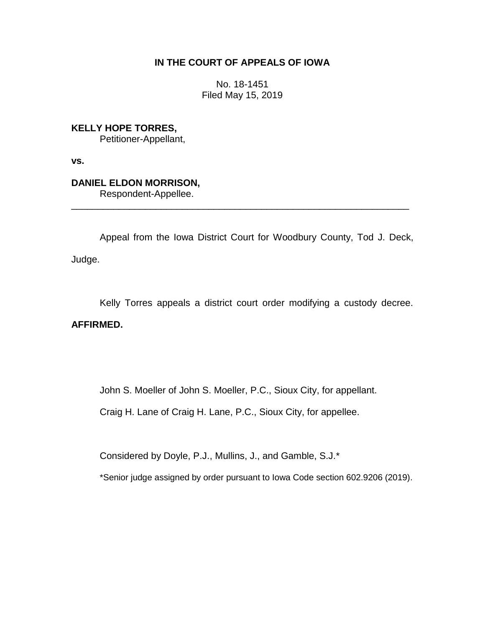## **IN THE COURT OF APPEALS OF IOWA**

No. 18-1451 Filed May 15, 2019

**KELLY HOPE TORRES,** Petitioner-Appellant,

**vs.**

# **DANIEL ELDON MORRISON,**

Respondent-Appellee.

Appeal from the Iowa District Court for Woodbury County, Tod J. Deck, Judge.

\_\_\_\_\_\_\_\_\_\_\_\_\_\_\_\_\_\_\_\_\_\_\_\_\_\_\_\_\_\_\_\_\_\_\_\_\_\_\_\_\_\_\_\_\_\_\_\_\_\_\_\_\_\_\_\_\_\_\_\_\_\_\_\_

Kelly Torres appeals a district court order modifying a custody decree.

## **AFFIRMED.**

John S. Moeller of John S. Moeller, P.C., Sioux City, for appellant.

Craig H. Lane of Craig H. Lane, P.C., Sioux City, for appellee.

Considered by Doyle, P.J., Mullins, J., and Gamble, S.J.\*

\*Senior judge assigned by order pursuant to Iowa Code section 602.9206 (2019).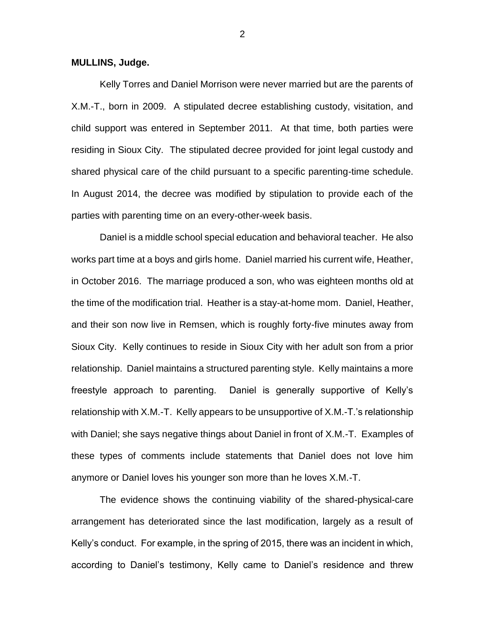#### **MULLINS, Judge.**

Kelly Torres and Daniel Morrison were never married but are the parents of X.M.-T., born in 2009. A stipulated decree establishing custody, visitation, and child support was entered in September 2011. At that time, both parties were residing in Sioux City. The stipulated decree provided for joint legal custody and shared physical care of the child pursuant to a specific parenting-time schedule. In August 2014, the decree was modified by stipulation to provide each of the parties with parenting time on an every-other-week basis.

Daniel is a middle school special education and behavioral teacher. He also works part time at a boys and girls home. Daniel married his current wife, Heather, in October 2016. The marriage produced a son, who was eighteen months old at the time of the modification trial. Heather is a stay-at-home mom. Daniel, Heather, and their son now live in Remsen, which is roughly forty-five minutes away from Sioux City. Kelly continues to reside in Sioux City with her adult son from a prior relationship. Daniel maintains a structured parenting style. Kelly maintains a more freestyle approach to parenting. Daniel is generally supportive of Kelly's relationship with X.M.-T. Kelly appears to be unsupportive of X.M.-T.'s relationship with Daniel; she says negative things about Daniel in front of X.M.-T. Examples of these types of comments include statements that Daniel does not love him anymore or Daniel loves his younger son more than he loves X.M.-T.

The evidence shows the continuing viability of the shared-physical-care arrangement has deteriorated since the last modification, largely as a result of Kelly's conduct. For example, in the spring of 2015, there was an incident in which, according to Daniel's testimony, Kelly came to Daniel's residence and threw

2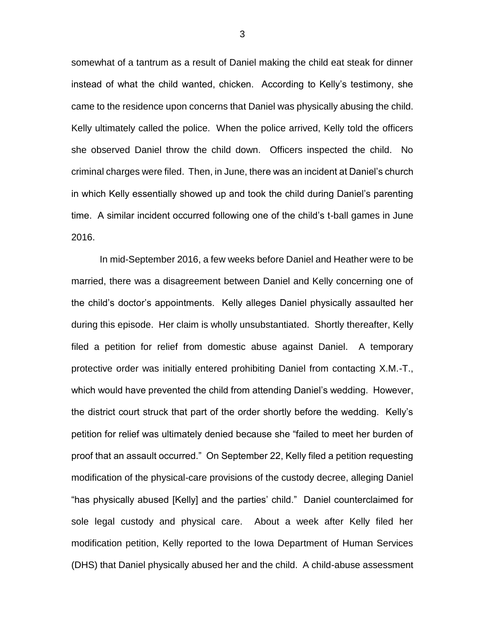somewhat of a tantrum as a result of Daniel making the child eat steak for dinner instead of what the child wanted, chicken. According to Kelly's testimony, she came to the residence upon concerns that Daniel was physically abusing the child. Kelly ultimately called the police. When the police arrived, Kelly told the officers she observed Daniel throw the child down. Officers inspected the child. No criminal charges were filed. Then, in June, there was an incident at Daniel's church in which Kelly essentially showed up and took the child during Daniel's parenting time. A similar incident occurred following one of the child's t-ball games in June 2016.

In mid-September 2016, a few weeks before Daniel and Heather were to be married, there was a disagreement between Daniel and Kelly concerning one of the child's doctor's appointments. Kelly alleges Daniel physically assaulted her during this episode. Her claim is wholly unsubstantiated. Shortly thereafter, Kelly filed a petition for relief from domestic abuse against Daniel. A temporary protective order was initially entered prohibiting Daniel from contacting X.M.-T., which would have prevented the child from attending Daniel's wedding. However, the district court struck that part of the order shortly before the wedding. Kelly's petition for relief was ultimately denied because she "failed to meet her burden of proof that an assault occurred." On September 22, Kelly filed a petition requesting modification of the physical-care provisions of the custody decree, alleging Daniel "has physically abused [Kelly] and the parties' child." Daniel counterclaimed for sole legal custody and physical care. About a week after Kelly filed her modification petition, Kelly reported to the Iowa Department of Human Services (DHS) that Daniel physically abused her and the child. A child-abuse assessment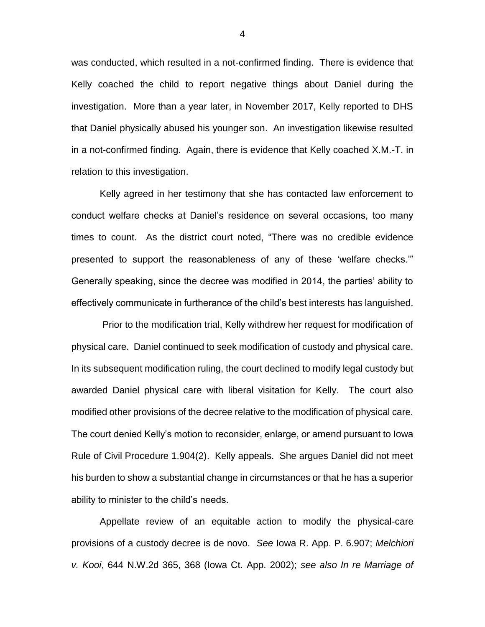was conducted, which resulted in a not-confirmed finding. There is evidence that Kelly coached the child to report negative things about Daniel during the investigation. More than a year later, in November 2017, Kelly reported to DHS that Daniel physically abused his younger son. An investigation likewise resulted in a not-confirmed finding. Again, there is evidence that Kelly coached X.M.-T. in relation to this investigation.

Kelly agreed in her testimony that she has contacted law enforcement to conduct welfare checks at Daniel's residence on several occasions, too many times to count. As the district court noted, "There was no credible evidence presented to support the reasonableness of any of these 'welfare checks.'" Generally speaking, since the decree was modified in 2014, the parties' ability to effectively communicate in furtherance of the child's best interests has languished.

Prior to the modification trial, Kelly withdrew her request for modification of physical care. Daniel continued to seek modification of custody and physical care. In its subsequent modification ruling, the court declined to modify legal custody but awarded Daniel physical care with liberal visitation for Kelly. The court also modified other provisions of the decree relative to the modification of physical care. The court denied Kelly's motion to reconsider, enlarge, or amend pursuant to Iowa Rule of Civil Procedure 1.904(2). Kelly appeals. She argues Daniel did not meet his burden to show a substantial change in circumstances or that he has a superior ability to minister to the child's needs.

Appellate review of an equitable action to modify the physical-care provisions of a custody decree is de novo. *See* Iowa R. App. P. 6.907; *Melchiori v. Kooi*, 644 N.W.2d 365, 368 (Iowa Ct. App. 2002); *see also In re Marriage of* 

4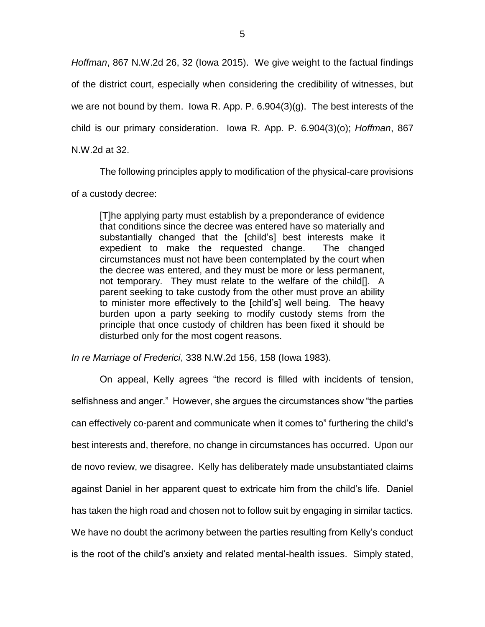*Hoffman*, 867 N.W.2d 26, 32 (Iowa 2015). We give weight to the factual findings of the district court, especially when considering the credibility of witnesses, but we are not bound by them. Iowa R. App. P. 6.904(3)(g). The best interests of the child is our primary consideration. Iowa R. App. P. 6.904(3)(o); *Hoffman*, 867 N.W.2d at 32.

The following principles apply to modification of the physical-care provisions of a custody decree:

[T]he applying party must establish by a preponderance of evidence that conditions since the decree was entered have so materially and substantially changed that the [child's] best interests make it expedient to make the requested change. The changed circumstances must not have been contemplated by the court when the decree was entered, and they must be more or less permanent, not temporary. They must relate to the welfare of the child[]. A parent seeking to take custody from the other must prove an ability to minister more effectively to the [child's] well being. The heavy burden upon a party seeking to modify custody stems from the principle that once custody of children has been fixed it should be disturbed only for the most cogent reasons.

*In re Marriage of Frederici*, 338 N.W.2d 156, 158 (Iowa 1983).

On appeal, Kelly agrees "the record is filled with incidents of tension, selfishness and anger." However, she argues the circumstances show "the parties can effectively co-parent and communicate when it comes to" furthering the child's best interests and, therefore, no change in circumstances has occurred. Upon our de novo review, we disagree. Kelly has deliberately made unsubstantiated claims against Daniel in her apparent quest to extricate him from the child's life. Daniel has taken the high road and chosen not to follow suit by engaging in similar tactics. We have no doubt the acrimony between the parties resulting from Kelly's conduct is the root of the child's anxiety and related mental-health issues. Simply stated,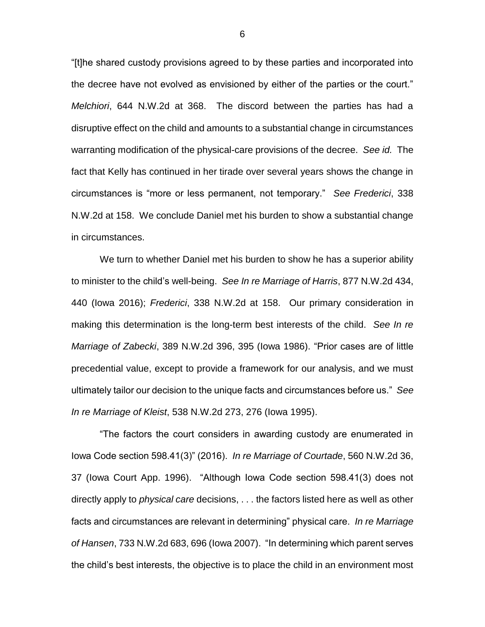"[t]he shared custody provisions agreed to by these parties and incorporated into the decree have not evolved as envisioned by either of the parties or the court." *Melchiori*, 644 N.W.2d at 368. The discord between the parties has had a disruptive effect on the child and amounts to a substantial change in circumstances warranting modification of the physical-care provisions of the decree. *See id.* The fact that Kelly has continued in her tirade over several years shows the change in circumstances is "more or less permanent, not temporary." *See Frederici*, 338 N.W.2d at 158. We conclude Daniel met his burden to show a substantial change in circumstances.

We turn to whether Daniel met his burden to show he has a superior ability to minister to the child's well-being. *See In re Marriage of Harris*, 877 N.W.2d 434, 440 (Iowa 2016); *Frederici*, 338 N.W.2d at 158. Our primary consideration in making this determination is the long-term best interests of the child. *See In re Marriage of Zabecki*, 389 N.W.2d 396, 395 (Iowa 1986). "Prior cases are of little precedential value, except to provide a framework for our analysis, and we must ultimately tailor our decision to the unique facts and circumstances before us." *See In re Marriage of Kleist*, 538 N.W.2d 273, 276 (Iowa 1995).

"The factors the court considers in awarding custody are enumerated in Iowa Code section 598.41(3)" (2016). *In re Marriage of Courtade*, 560 N.W.2d 36, 37 (Iowa Court App. 1996). "Although Iowa Code section 598.41(3) does not directly apply to *physical care* decisions, . . . the factors listed here as well as other facts and circumstances are relevant in determining" physical care. *In re Marriage of Hansen*, 733 N.W.2d 683, 696 (Iowa 2007). "In determining which parent serves the child's best interests, the objective is to place the child in an environment most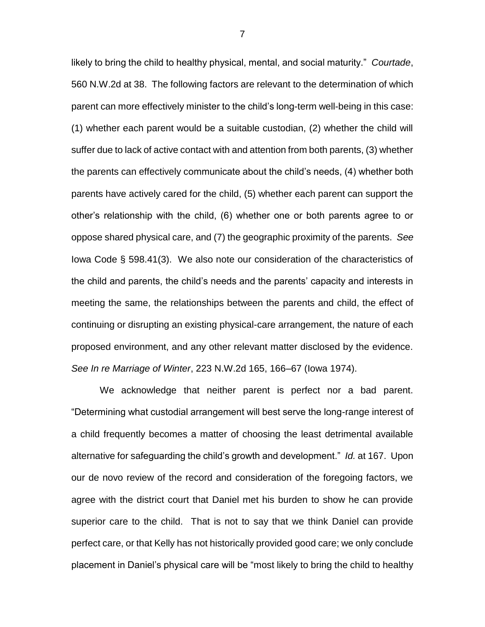likely to bring the child to healthy physical, mental, and social maturity." *Courtade*, 560 N.W.2d at 38. The following factors are relevant to the determination of which parent can more effectively minister to the child's long-term well-being in this case: (1) whether each parent would be a suitable custodian, (2) whether the child will suffer due to lack of active contact with and attention from both parents, (3) whether the parents can effectively communicate about the child's needs, (4) whether both parents have actively cared for the child, (5) whether each parent can support the other's relationship with the child, (6) whether one or both parents agree to or oppose shared physical care, and (7) the geographic proximity of the parents. *See*  Iowa Code § 598.41(3). We also note our consideration of the characteristics of the child and parents, the child's needs and the parents' capacity and interests in meeting the same, the relationships between the parents and child, the effect of continuing or disrupting an existing physical-care arrangement, the nature of each proposed environment, and any other relevant matter disclosed by the evidence. *See In re Marriage of Winter*, 223 N.W.2d 165, 166–67 (Iowa 1974).

We acknowledge that neither parent is perfect nor a bad parent. "Determining what custodial arrangement will best serve the long-range interest of a child frequently becomes a matter of choosing the least detrimental available alternative for safeguarding the child's growth and development." *Id.* at 167. Upon our de novo review of the record and consideration of the foregoing factors, we agree with the district court that Daniel met his burden to show he can provide superior care to the child. That is not to say that we think Daniel can provide perfect care, or that Kelly has not historically provided good care; we only conclude placement in Daniel's physical care will be "most likely to bring the child to healthy